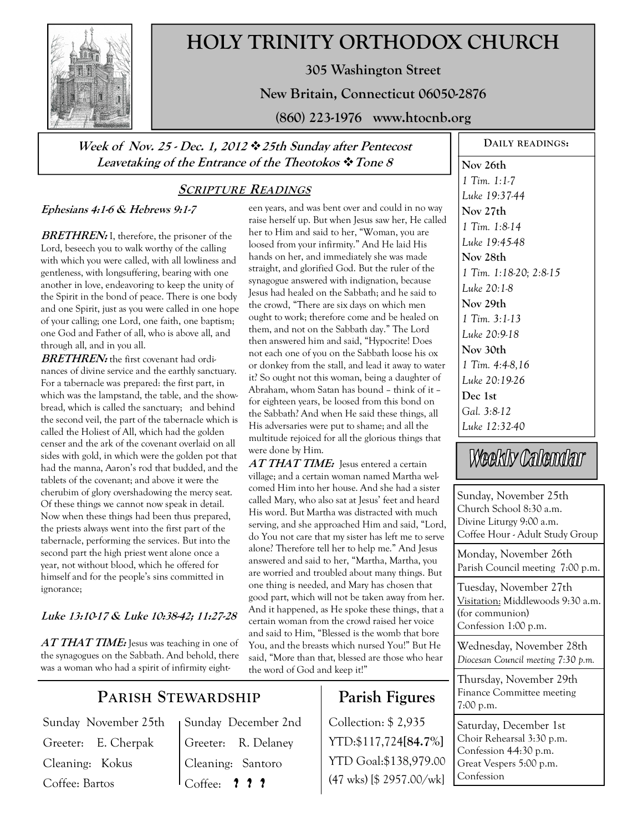

## **HOLY TRINITY ORTHODOX CHURCH**

**305 Washington Street** 

**New Britain, Connecticut 06050-2876** 

**(860) 223-1976 www.htocnb.org** 

### **Week of Nov. 25 - Dec. 1, 2012 25th Sunday after Pentecost Leavetaking of the Entrance of the Theotokos Tone 8**

### **SCRIPTURE READINGS**

#### **Ephesians 4:1-6 & Hebrews 9:1-7**

**BRETHREN:** I, therefore, the prisoner of the Lord, beseech you to walk worthy of the calling with which you were called, with all lowliness and gentleness, with longsuffering, bearing with one another in love, endeavoring to keep the unity of the Spirit in the bond of peace. There is one body and one Spirit, just as you were called in one hope of your calling; one Lord, one faith, one baptism; one God and Father of all, who is above all, and through all, and in you all.

**BRETHREN:** the first covenant had ordinances of divine service and the earthly sanctuary. For a tabernacle was prepared: the first part, in which was the lampstand, the table, and the showbread, which is called the sanctuary; and behind the second veil, the part of the tabernacle which is called the Holiest of All, which had the golden censer and the ark of the covenant overlaid on all sides with gold, in which were the golden pot that had the manna, Aaron's rod that budded, and the tablets of the covenant; and above it were the cherubim of glory overshadowing the mercy seat. Of these things we cannot now speak in detail. Now when these things had been thus prepared, the priests always went into the first part of the tabernacle, performing the services. But into the second part the high priest went alone once a year, not without blood, which he offered for himself and for the people's sins committed in ignorance;

### **Luke 13:10-17 & Luke 10:38-42; 11:27-28**

**AT THAT TIME:** Jesus was teaching in one of the synagogues on the Sabbath. And behold, there was a woman who had a spirit of infirmity eighteen years, and was bent over and could in no way raise herself up. But when Jesus saw her, He called her to Him and said to her, "Woman, you are loosed from your infirmity." And He laid His hands on her, and immediately she was made straight, and glorified God. But the ruler of the synagogue answered with indignation, because Jesus had healed on the Sabbath; and he said to the crowd, "There are six days on which men ought to work; therefore come and be healed on them, and not on the Sabbath day." The Lord then answered him and said, "Hypocrite! Does not each one of you on the Sabbath loose his ox or donkey from the stall, and lead it away to water it? So ought not this woman, being a daughter of Abraham, whom Satan has bound – think of it – for eighteen years, be loosed from this bond on the Sabbath? And when He said these things, all His adversaries were put to shame; and all the multitude rejoiced for all the glorious things that were done by Him.

**AT THAT TIME:** Jesus entered a certain village; and a certain woman named Martha welcomed Him into her house. And she had a sister called Mary, who also sat at Jesus' feet and heard His word. But Martha was distracted with much serving, and she approached Him and said, "Lord, do You not care that my sister has left me to serve alone? Therefore tell her to help me." And Jesus answered and said to her, "Martha, Martha, you are worried and troubled about many things. But one thing is needed, and Mary has chosen that good part, which will not be taken away from her. And it happened, as He spoke these things, that a certain woman from the crowd raised her voice and said to Him, "Blessed is the womb that bore You, and the breasts which nursed You!" But He said, "More than that, blessed are those who hear the word of God and keep it!"

### **Parish Figures**

Collection: \$ 2,935 YTD:\$117,724**[84.7%]** YTD Goal:\$138,979.00 (47 wks) [\$ 2957.00/wk]

**Nov 26th**  *1 Tim. 1:1-7 Luke 19:37-44*  **Nov 27th**  *1 Tim. 1:8-14 Luke 19:45-48*  **Nov 28th**  *1 Tim. 1:18-20; 2:8-15 Luke 20:1-8*  **Nov 29th**  *1 Tim. 3:1-13 Luke 20:9-18*  **Nov 30th**  *1 Tim. 4:4-8,16 Luke 20:19-26*  **Dec 1st**  *Gal. 3:8-12 Luke 12:32-40* 

**DAILY READINGS:** 

# Weekly Calendar

Sunday, November 25th Church School 8:30 a.m. Divine Liturgy 9:00 a.m. Coffee Hour - Adult Study Group Monday, November 26th Parish Council meeting 7:00 p.m. Tuesday, November 27th Visitation: Middlewoods 9:30 a.m. (for communion) Confession 1:00 p.m.

Wednesday, November 28th *Diocesan Council meeting 7:30 p.m.* 

Thursday, November 29th Finance Committee meeting 7:00 p.m.

Saturday, December 1st Choir Rehearsal 3:30 p.m. Confession  $44:30$  p.m. Great Vespers 5:00 p.m. Confession

### **PARISH STEWARDSHIP**

Sunday November 25th Greeter: E. Cherpak Cleaning: Kokus Coffee: Bartos

Sunday December 2nd Greeter: R. Delaney Cleaning: Santoro Coffee: **? ? ?**